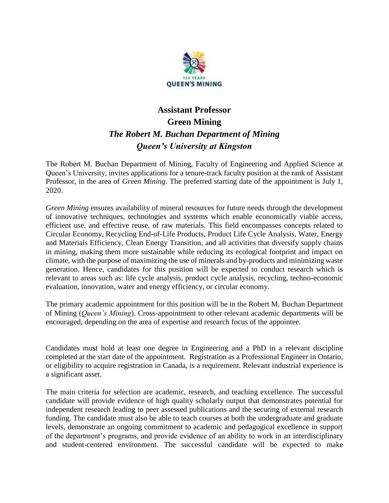

## **Assistant Professor Green Mining** *The Robert M. Buchan Department of Mining Queen's University at Kingston*

The Robert M. Buchan Department of Mining, Faculty of Engineering and Applied Science at Queen's University, invites applications for a tenure-track faculty position at the rank of Assistant Professor, in the area of *Green Mining*. The preferred starting date of the appointment is July 1, 2020.

*Green Mining* ensures availability of mineral resources for future needs through the development of innovative techniques, technologies and systems which enable economically viable access, efficient use, and effective reuse, of raw materials. This field encompasses concepts related to Circular Economy, Recycling End-of-Life Products, Product Life Cycle Analysis, Water, Energy and Materials Efficiency, Clean Energy Transition, and all activities that diversify supply chains in mining, making them more sustainable while reducing its ecological footprint and impact on climate, with the purpose of maximizing the use of minerals and by-products and minimizing waste generation. Hence, candidates for this position will be expected to conduct research which is relevant to areas such as: life cycle analysis, product cycle analysis, recycling, techno-economic evaluation, innovation, water and energy efficiency, or circular economy.

The primary academic appointment for this position will be in the Robert M. Buchan Department of Mining (*Queen's Mining*). Cross-appointment to other relevant academic departments will be encouraged, depending on the area of expertise and research focus of the appointee.

Candidates must hold at least one degree in Engineering and a PhD in a relevant discipline completed at the start date of the appointment. Registration as a Professional Engineer in Ontario, or eligibility to acquire registration in Canada, is a requirement. Relevant industrial experience is a significant asset.

The main criteria for selection are academic, research, and teaching excellence. The successful candidate will provide evidence of high quality scholarly output that demonstrates potential for independent research leading to peer assessed publications and the securing of external research funding. The candidate must also be able to teach courses at both the undergraduate and graduate levels, demonstrate an ongoing commitment to academic and pedagogical excellence in support of the department's programs, and provide evidence of an ability to work in an interdisciplinary and student-centered environment. The successful candidate will be expected to make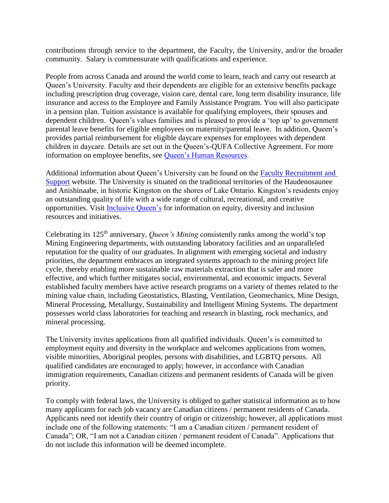contributions through service to the department, the Faculty, the University, and/or the broader community. Salary is commensurate with qualifications and experience.

People from across Canada and around the world come to learn, teach and carry out research at Queen's University. Faculty and their dependents are eligible for an extensive benefits package including prescription drug coverage, vision care, dental care, long term disability insurance, life insurance and access to the Employee and Family Assistance Program. You will also participate in a pension plan. Tuition assistance is available for qualifying employees, their spouses and dependent children. Queen's values families and is pleased to provide a 'top up' to government parental leave benefits for eligible employees on maternity/parental leave. In addition, Queen's provides partial reimbursement for eligible daycare expenses for employees with dependent children in daycare. Details are set out in the Queen's-QUFA Collective Agreement. For more information on employee benefits, see [Queen's Human Resources.](http://www.queensu.ca/humanresources/)

Additional information about Queen's University can be found on the [Faculty Recruitment and](http://www.queensu.ca/facultyrecruitment)  [Support](http://www.queensu.ca/facultyrecruitment) website. The University is situated on the traditional territories of the Haudenosaunee and Anishinaabe, in historic Kingston on the shores of Lake Ontario. Kingston's residents enjoy an outstanding quality of life with a wide range of cultural, recreational, and creative opportunities. Visit [Inclusive Queen's](https://www.queensu.ca/inclusive/content/home) for information on equity, diversity and inclusion resources and initiatives.

Celebrating its 125th anniversary, *Queen's Mining* consistently ranks among the world's top Mining Engineering departments, with outstanding laboratory facilities and an unparalleled reputation for the quality of our graduates. In alignment with emerging societal and industry priorities, the department embraces an integrated systems approach to the mining project life cycle, thereby enabling more sustainable raw materials extraction that is safer and more effective, and which further mitigates social, environmental, and economic impacts. Several established faculty members have active research programs on a variety of themes related to the mining value chain, including Geostatistics, Blasting, Ventilation, Geomechanics, Mine Design, Mineral Processing, Metallurgy, Sustainability and Intelligent Mining Systems. The department possesses world class laboratories for teaching and research in blasting, rock mechanics, and mineral processing.

The University invites applications from all qualified individuals. Queen's is committed to employment equity and diversity in the workplace and welcomes applications from women, visible minorities, Aboriginal peoples, persons with disabilities, and LGBTQ persons. All qualified candidates are encouraged to apply; however, in accordance with Canadian immigration requirements, Canadian citizens and permanent residents of Canada will be given priority.

To comply with federal laws, the University is obliged to gather statistical information as to how many applicants for each job vacancy are Canadian citizens / permanent residents of Canada. Applicants need not identify their country of origin or citizenship; however, all applications must include one of the following statements: "I am a Canadian citizen / permanent resident of Canada"; OR, "I am not a Canadian citizen / permanent resident of Canada". Applications that do not include this information will be deemed incomplete.